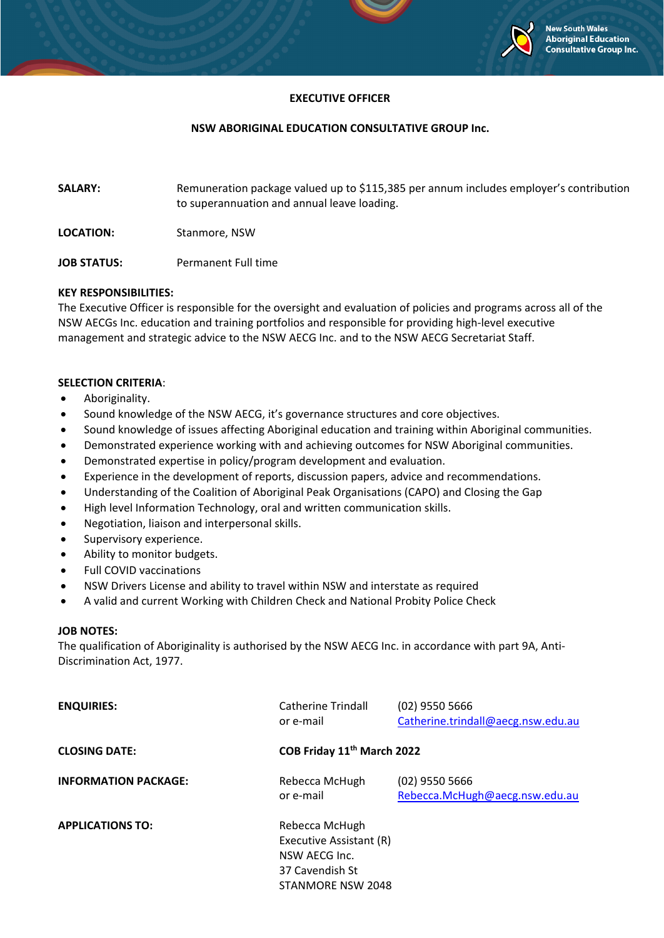

### **EXECUTIVE OFFICER**

### **NSW ABORIGINAL EDUCATION CONSULTATIVE GROUP Inc.**

- **SALARY:** Remuneration package valued up to \$115,385 per annum includes employer's contribution to superannuation and annual leave loading.
- **LOCATION:** Stanmore, NSW
- **JOB STATUS:** Permanent Full time

### **KEY RESPONSIBILITIES:**

The Executive Officer is responsible for the oversight and evaluation of policies and programs across all of the NSW AECGs Inc. education and training portfolios and responsible for providing high-level executive management and strategic advice to the NSW AECG Inc. and to the NSW AECG Secretariat Staff.

### **SELECTION CRITERIA**:

- Aboriginality.
- Sound knowledge of the NSW AECG, it's governance structures and core objectives.
- Sound knowledge of issues affecting Aboriginal education and training within Aboriginal communities.
- Demonstrated experience working with and achieving outcomes for NSW Aboriginal communities.
- Demonstrated expertise in policy/program development and evaluation.
- Experience in the development of reports, discussion papers, advice and recommendations.
- Understanding of the Coalition of Aboriginal Peak Organisations (CAPO) and Closing the Gap
- High level Information Technology, oral and written communication skills.
- Negotiation, liaison and interpersonal skills.
- Supervisory experience.
- Ability to monitor budgets.
- Full COVID vaccinations
- NSW Drivers License and ability to travel within NSW and interstate as required
- A valid and current Working with Children Check and National Probity Police Check

### **JOB NOTES:**

The qualification of Aboriginality is authorised by the NSW AECG Inc. in accordance with part 9A, Anti-Discrimination Act, 1977.

| <b>ENQUIRIES:</b>           | Catherine Trindall<br>or e-mail                                                                    | $(02)$ 9550 5666<br>Catherine.trindall@aecg.nsw.edu.au |
|-----------------------------|----------------------------------------------------------------------------------------------------|--------------------------------------------------------|
| <b>CLOSING DATE:</b>        | COB Friday 11 <sup>th</sup> March 2022                                                             |                                                        |
| <b>INFORMATION PACKAGE:</b> | Rebecca McHugh<br>or e-mail                                                                        | $(02)$ 9550 5666<br>Rebecca.McHugh@aecg.nsw.edu.au     |
| <b>APPLICATIONS TO:</b>     | Rebecca McHugh<br>Executive Assistant (R)<br>NSW AECG Inc.<br>37 Cavendish St<br>STANMORE NSW 2048 |                                                        |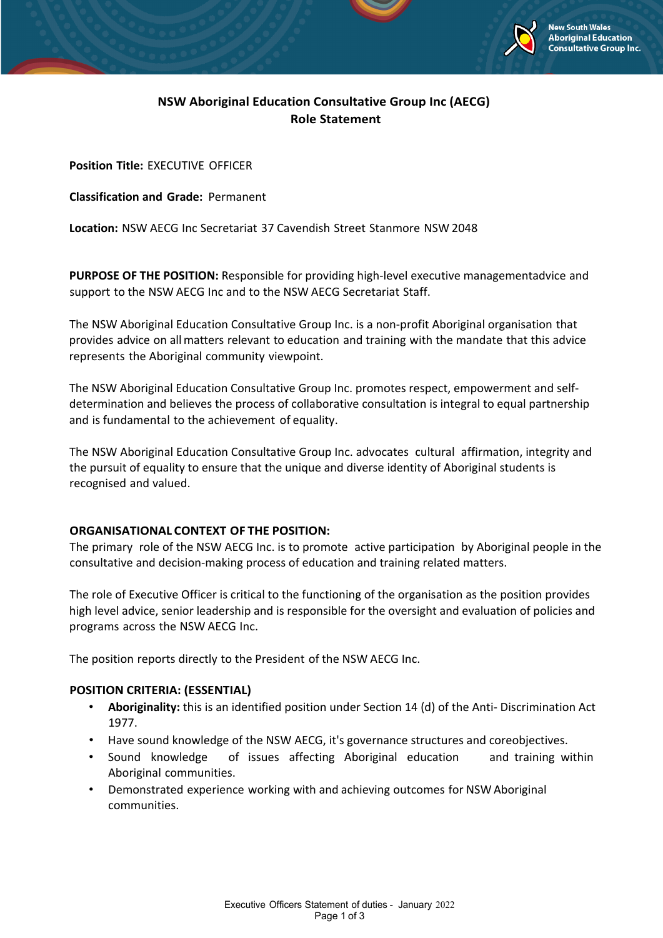

# **NSW Aboriginal Education Consultative Group Inc (AECG) Role Statement**

**Position Title:** EXECUTIVE OFFICER

**Classification and Grade:** Permanent

**Location:** NSW AECG Inc Secretariat 37 Cavendish Street Stanmore NSW 2048

**PURPOSE OF THE POSITION:** Responsible for providing high-level executive managementadvice and support to the NSW AECG Inc and to the NSW AECG Secretariat Staff.

The NSW Aboriginal Education Consultative Group Inc. is a non-profit Aboriginal organisation that provides advice on allmatters relevant to education and training with the mandate that this advice represents the Aboriginal community viewpoint.

The NSW Aboriginal Education Consultative Group Inc. promotes respect, empowerment and selfdetermination and believes the process of collaborative consultation is integral to equal partnership and is fundamental to the achievement of equality.

The NSW Aboriginal Education Consultative Group Inc. advocates cultural affirmation, integrity and the pursuit of equality to ensure that the unique and diverse identity of Aboriginal students is recognised and valued.

# **ORGANISATIONAL CONTEXT OF THE POSITION:**

The primary role of the NSW AECG Inc. is to promote active participation by Aboriginal people in the consultative and decision-making process of education and training related matters.

The role of Executive Officer is critical to the functioning of the organisation as the position provides high level advice, senior leadership and is responsible for the oversight and evaluation of policies and programs across the NSW AECG Inc.

The position reports directly to the President of the NSW AECG Inc.

# **POSITION CRITERIA: (ESSENTIAL)**

- **Aboriginality:** this is an identified position under Section 14 (d) of the Anti- Discrimination Act 1977.
- Have sound knowledge of the NSW AECG, it's governance structures and coreobjectives.
- Sound knowledge of issues affecting Aboriginal education and training within Aboriginal communities.
- Demonstrated experience working with and achieving outcomes for NSW Aboriginal communities.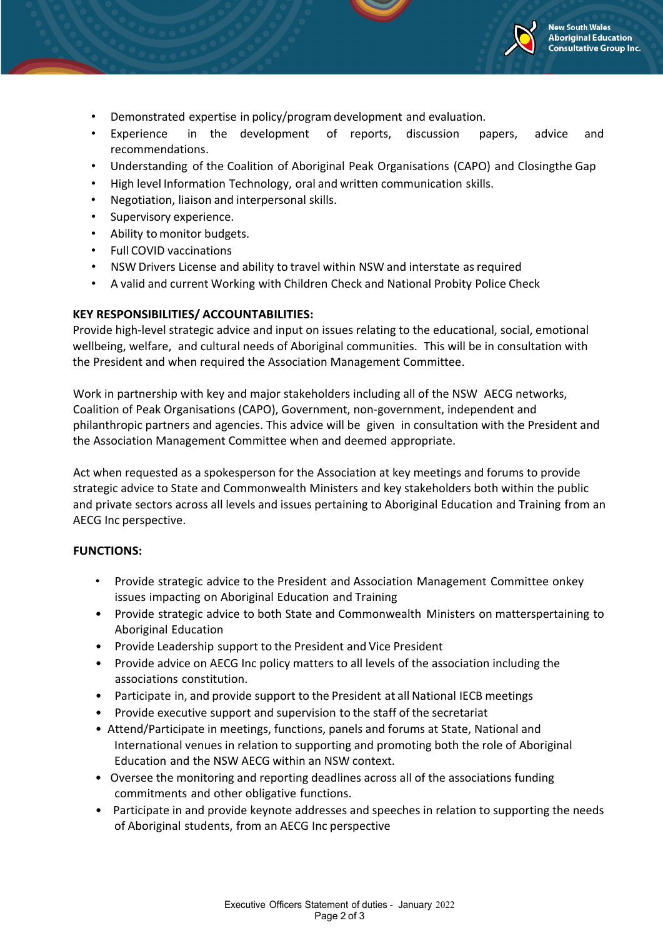

- Demonstrated expertise in policy/programdevelopment and evaluation.
- Experience in the development of reports, discussion papers, advice and recommendations.
- Understanding of the Coalition of Aboriginal Peak Organisations (CAPO) and Closingthe Gap
- High level Information Technology, oral and written communication skills.
- Negotiation, liaison and interpersonal skills.
- Supervisory experience.
- Ability to monitor budgets.
- Full COVID vaccinations
- NSW Drivers License and ability to travel within NSW and interstate as required
- A valid and current Working with Children Check and National Probity Police Check

## **KEY RESPONSIBILITIES/ ACCOUNTABILITIES:**

Provide high-level strategic advice and input on issues relating to the educational, social, emotional wellbeing, welfare, and cultural needs of Aboriginal communities. This will be in consultation with the President and when required the Association Management Committee.

Work in partnership with key and major stakeholders including all of the NSW AECG networks, Coalition of Peak Organisations (CAPO), Government, non-government, independent and philanthropic partners and agencies. This advice will be given in consultation with the President and the Association Management Committee when and deemed appropriate.

Act when requested as a spokesperson for the Association at key meetings and forums to provide strategic advice to State and Commonwealth Ministers and key stakeholders both within the public and private sectors across all levels and issues pertaining to Aboriginal Education and Training from an AECG Inc perspective.

## **FUNCTIONS:**

- Provide strategic advice to the President and Association Management Committee onkey issues impacting on Aboriginal Education and Training
- Provide strategic advice to both State and Commonwealth Ministers on matterspertaining to Aboriginal Education
- Provide Leadership support to the President and Vice President
- Provide advice on AECG Inc policy matters to all levels of the association including the associations constitution.
- Participate in, and provide support to the President at all National IECB meetings
- Provide executive support and supervision to the staff of the secretariat
- Attend/Participate in meetings, functions, panels and forums at State, National and International venues in relation to supporting and promoting both the role of Aboriginal Education and the NSW AECG within an NSW context.
- Oversee the monitoring and reporting deadlines across all of the associations funding commitments and other obligative functions.
- Participate in and provide keynote addresses and speeches in relation to supporting the needs of Aboriginal students, from an AECG Inc perspective